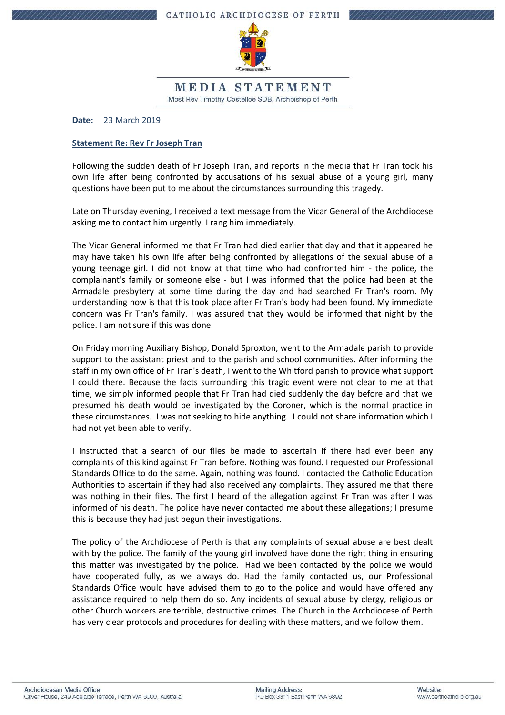

MEDIA STATEMENT Most Rev Timothy Costelloe SDB, Archbishop of Perth

**Date:** 23 March 2019

## **Statement Re: Rev Fr Joseph Tran**

Following the sudden death of Fr Joseph Tran, and reports in the media that Fr Tran took his own life after being confronted by accusations of his sexual abuse of a young girl, many questions have been put to me about the circumstances surrounding this tragedy.

Late on Thursday evening, I received a text message from the Vicar General of the Archdiocese asking me to contact him urgently. I rang him immediately.

The Vicar General informed me that Fr Tran had died earlier that day and that it appeared he may have taken his own life after being confronted by allegations of the sexual abuse of a young teenage girl. I did not know at that time who had confronted him - the police, the complainant's family or someone else - but I was informed that the police had been at the Armadale presbytery at some time during the day and had searched Fr Tran's room. My understanding now is that this took place after Fr Tran's body had been found. My immediate concern was Fr Tran's family. I was assured that they would be informed that night by the police. I am not sure if this was done.

On Friday morning Auxiliary Bishop, Donald Sproxton, went to the Armadale parish to provide support to the assistant priest and to the parish and school communities. After informing the staff in my own office of Fr Tran's death, I went to the Whitford parish to provide what support I could there. Because the facts surrounding this tragic event were not clear to me at that time, we simply informed people that Fr Tran had died suddenly the day before and that we presumed his death would be investigated by the Coroner, which is the normal practice in these circumstances. I was not seeking to hide anything. I could not share information which I had not yet been able to verify.

I instructed that a search of our files be made to ascertain if there had ever been any complaints of this kind against Fr Tran before. Nothing was found. I requested our Professional Standards Office to do the same. Again, nothing was found. I contacted the Catholic Education Authorities to ascertain if they had also received any complaints. They assured me that there was nothing in their files. The first I heard of the allegation against Fr Tran was after I was informed of his death. The police have never contacted me about these allegations; I presume this is because they had just begun their investigations.

The policy of the Archdiocese of Perth is that any complaints of sexual abuse are best dealt with by the police. The family of the young girl involved have done the right thing in ensuring this matter was investigated by the police. Had we been contacted by the police we would have cooperated fully, as we always do. Had the family contacted us, our Professional Standards Office would have advised them to go to the police and would have offered any assistance required to help them do so. Any incidents of sexual abuse by clergy, religious or other Church workers are terrible, destructive crimes. The Church in the Archdiocese of Perth has very clear protocols and procedures for dealing with these matters, and we follow them.